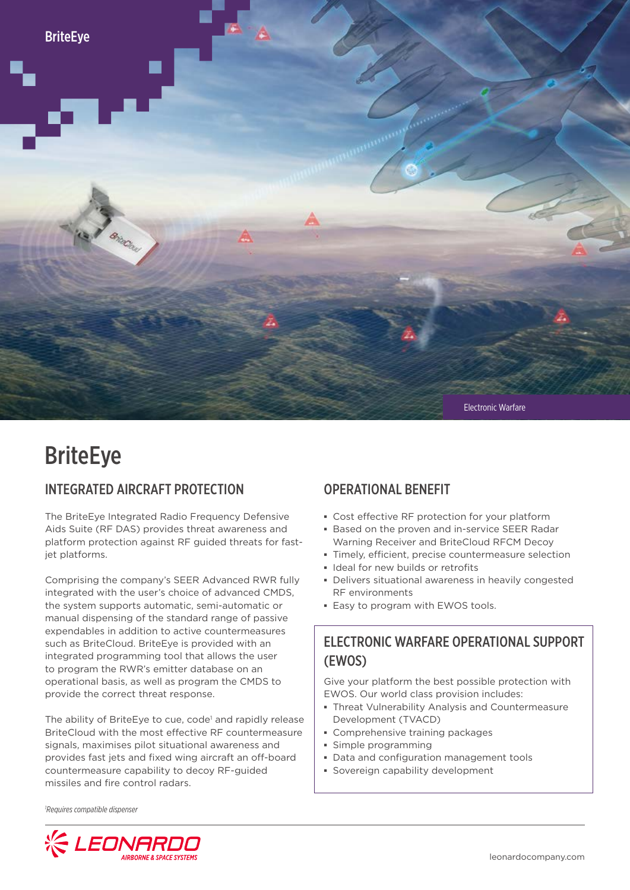

# **BriteEye**

#### INTEGRATED AIRCRAFT PROTECTION

The BriteEye Integrated Radio Frequency Defensive Aids Suite (RF DAS) provides threat awareness and platform protection against RF guided threats for fastjet platforms.

Comprising the company's SEER Advanced RWR fully integrated with the user's choice of advanced CMDS, the system supports automatic, semi-automatic or manual dispensing of the standard range of passive expendables in addition to active countermeasures such as BriteCloud. BriteEye is provided with an integrated programming tool that allows the user to program the RWR's emitter database on an operational basis, as well as program the CMDS to provide the correct threat response.

The ability of BriteEye to cue, code<sup>1</sup> and rapidly release BriteCloud with the most effective RF countermeasure signals, maximises pilot situational awareness and provides fast jets and fixed wing aircraft an off-board countermeasure capability to decoy RF-guided missiles and fire control radars.

## OPERATIONAL BENEFIT

- **▪** Cost effective RF protection for your platform
- **▪** Based on the proven and in-service SEER Radar Warning Receiver and BriteCloud RFCM Decoy
- **▪** Timely, efficient, precise countermeasure selection
- **▪** Ideal for new builds or retrofits
- **▪** Delivers situational awareness in heavily congested RF environments
- **▪** Easy to program with EWOS tools.

## ELECTRONIC WARFARE OPERATIONAL SUPPORT (EWOS)

Give your platform the best possible protection with EWOS. Our world class provision includes:

- **▪** Threat Vulnerability Analysis and Countermeasure Development (TVACD)
- **▪** Comprehensive training packages
- **▪** Simple programming
- **▪** Data and configuration management tools
- **▪** Sovereign capability development

*1 Requires compatible dispenser*